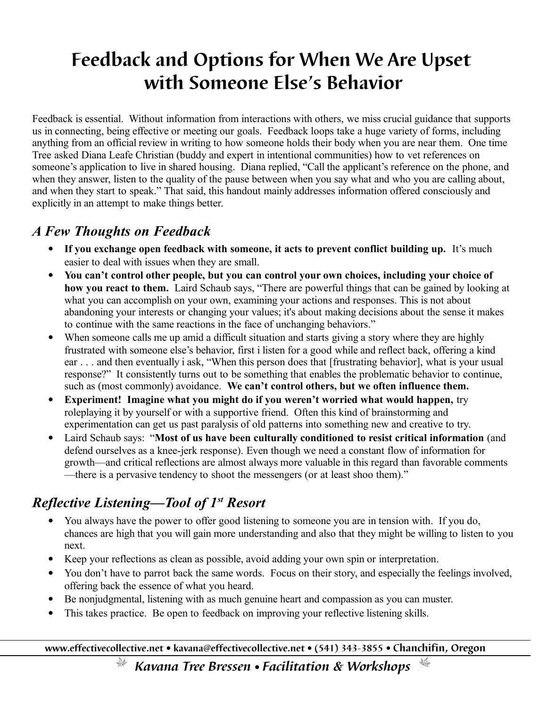# **Feedback and Options for When We Are Upset with Someone Else's Behavior**

Feedback is essential. Without information from interactions with others, we miss crucial guidance that supports us in connecting, being effective or meeting our goals. Feedback loops take a huge variety of forms, including anything from an official review in writing to how someone holds their body when you are near them. One time Tree asked Diana Leafe Christian (buddy and expert in intentional communities) how to vet references on someone's application to live in shared housing. Diana replied, "Call the applicant's reference on the phone, and when they answer, listen to the quality of the pause between when you say what and who you are calling about, and when they start to speak." That said, this handout mainly addresses information offered consciously and explicitly in an attempt to make things better.

#### *A Few Thoughts on Feedback*

- **If you exchange open feedback with someone, it acts to prevent conflict building up.** It's much easier to deal with issues when they are small.
- **You can't control other people, but you can control your own choices, including your choice of how you react to them.** Laird Schaub says, "There are powerful things that can be gained by looking at what you can accomplish on your own, examining your actions and responses. This is not about abandoning your interests or changing your values; it's about making decisions about the sense it makes to continue with the same reactions in the face of unchanging behaviors."
- When someone calls me up amid a difficult situation and starts giving a story where they are highly frustrated with someone else's behavior, first i listen for a good while and reflect back, offering a kind ear . . . and then eventually i ask, "When this person does that [frustrating behavior], what is your usual response?" It consistently turns out to be something that enables the problematic behavior to continue, such as (most commonly) avoidance. **We can't control others, but we often influence them.**
- **Experiment! Imagine what you might do if you weren't worried what would happen,** try roleplaying it by yourself or with a supportive friend. Often this kind of brainstorming and experimentation can get us past paralysis of old patterns into something new and creative to try.
- Laird Schaub says: "**Most of us have been culturally conditioned to resist critical information** (and defend ourselves as a knee-jerk response). Even though we need a constant flow of information for growth—and critical reflections are almost always more valuable in this regard than favorable comments —there is a pervasive tendency to shoot the messengers (or at least shoo them)."

## *Reflective Listening—Tool of 1st Resort*

- You always have the power to offer good listening to someone you are in tension with. If you do, chances are high that you will gain more understanding and also that they might be willing to listen to you next.
- Keep your reflections as clean as possible, avoid adding your own spin or interpretation.
- You don't have to parrot back the same words. Focus on their story, and especially the feelings involved, offering back the essence of what you heard.
- Be nonjudgmental, listening with as much genuine heart and compassion as you can muster.
- This takes practice. Be open to feedback on improving your reflective listening skills.

**www.effectivecollective.net kavana@effectivecollective.net (541) 343-3855 Chanchifin, Oregon**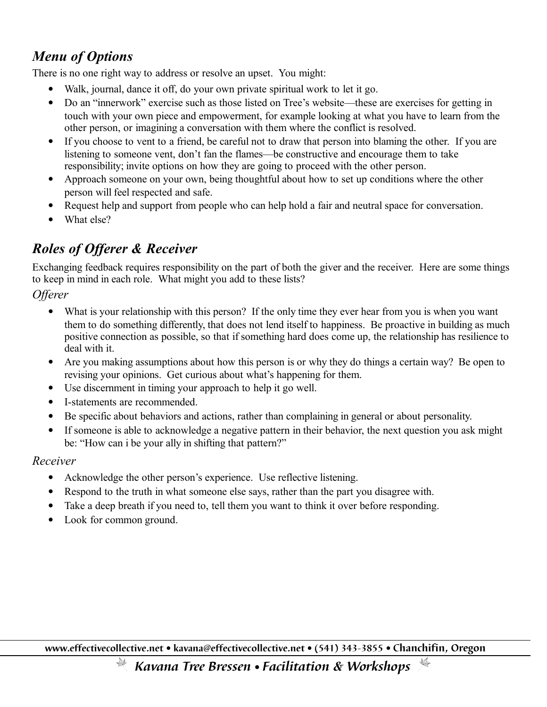## *Menu of Options*

There is no one right way to address or resolve an upset. You might:

- Walk, journal, dance it off, do your own private spiritual work to let it go.
- Do an "innerwork" exercise such as those listed on Tree's website—these are exercises for getting in touch with your own piece and empowerment, for example looking at what you have to learn from the other person, or imagining a conversation with them where the conflict is resolved.
- If you choose to vent to a friend, be careful not to draw that person into blaming the other. If you are listening to someone vent, don't fan the flames—be constructive and encourage them to take responsibility; invite options on how they are going to proceed with the other person.
- Approach someone on your own, being thoughtful about how to set up conditions where the other person will feel respected and safe.
- Request help and support from people who can help hold a fair and neutral space for conversation.
- What else?

## *Roles of Offerer & Receiver*

Exchanging feedback requires responsibility on the part of both the giver and the receiver. Here are some things to keep in mind in each role. What might you add to these lists?

*Offerer* 

- What is your relationship with this person? If the only time they ever hear from you is when you want them to do something differently, that does not lend itself to happiness. Be proactive in building as much positive connection as possible, so that if something hard does come up, the relationship has resilience to deal with it.
- Are you making assumptions about how this person is or why they do things a certain way? Be open to revising your opinions. Get curious about what's happening for them.
- Use discernment in timing your approach to help it go well.
- I-statements are recommended.
- Be specific about behaviors and actions, rather than complaining in general or about personality.
- If someone is able to acknowledge a negative pattern in their behavior, the next question you ask might be: "How can i be your ally in shifting that pattern?"

#### *Receiver*

- Acknowledge the other person's experience. Use reflective listening.
- Respond to the truth in what someone else says, rather than the part you disagree with.
- Take a deep breath if you need to, tell them you want to think it over before responding.
- Look for common ground.

**www.effectivecollective.net kavana@effectivecollective.net (541) 343-3855 Chanchifin, Oregon**